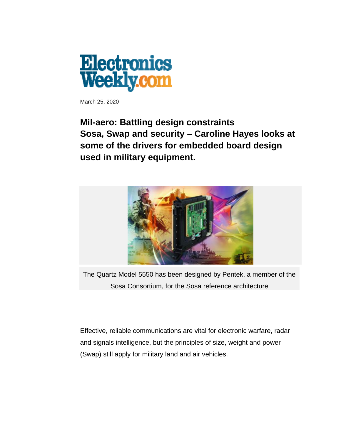

March 25, 2020

## **Mil-aero: Battling design constraints Sosa, Swap and security – Caroline Hayes looks at some of the drivers for embedded board design used in military equipment.**



The Quartz Model 5550 has been designed by Pentek, a member of the Sosa Consortium, for the Sosa reference architecture

Effective, reliable communications are vital for electronic warfare, radar and signals intelligence, but the principles of size, weight and power (Swap) still apply for military land and air vehicles.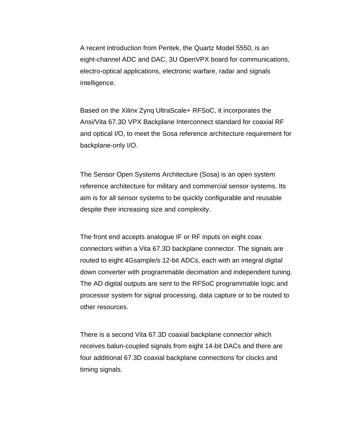A recent introduction from Pentek, the Quartz Model 5550, is an eight-channel ADC and DAC, 3U OpenVPX board for communications, electro-optical applications, electronic warfare, radar and signals intelligence.

Based on the Xilinx Zynq UltraScale+ RFSoC, it incorporates the Ansi/Vita 67.3D VPX Backplane Interconnect standard for coaxial RF and optical I/O, to meet the Sosa reference architecture requirement for backplane-only I/O.

The Sensor Open Systems Architecture (Sosa) is an open system reference architecture for military and commercial sensor systems. Its aim is for all sensor systems to be quickly configurable and reusable despite their increasing size and complexity.

The front end accepts analogue IF or RF inputs on eight coax connectors within a Vita 67.3D backplane connector. The signals are routed to eight 4Gsample/s 12-bit ADCs, each with an integral digital down converter with programmable decimation and independent tuning. The AD digital outputs are sent to the RFSoC programmable logic and processor system for signal processing, data capture or to be routed to other resources.

There is a second Vita 67.3D coaxial backplane connector which receives balun-coupled signals from eight 14-bit DACs and there are four additional 67.3D coaxial backplane connections for clocks and timing signals.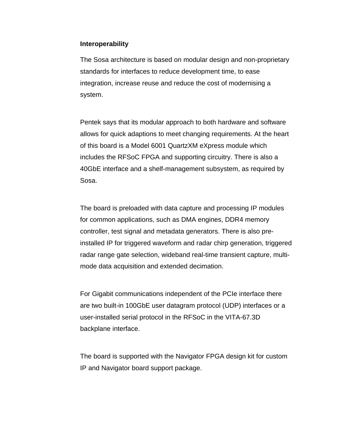## **Interoperability**

The Sosa architecture is based on modular design and non-proprietary standards for interfaces to reduce development time, to ease integration, increase reuse and reduce the cost of modernising a system.

Pentek says that its modular approach to both hardware and software allows for quick adaptions to meet changing requirements. At the heart of this board is a Model 6001 QuartzXM eXpress module which includes the RFSoC FPGA and supporting circuitry. There is also a 40GbE interface and a shelf-management subsystem, as required by Sosa.

The board is preloaded with data capture and processing IP modules for common applications, such as DMA engines, DDR4 memory controller, test signal and metadata generators. There is also preinstalled IP for triggered waveform and radar chirp generation, triggered radar range gate selection, wideband real-time transient capture, multimode data acquisition and extended decimation.

For Gigabit communications independent of the PCIe interface there are two built-in 100GbE user datagram protocol (UDP) interfaces or a user-installed serial protocol in the RFSoC in the VITA-67.3D backplane interface.

The board is supported with the Navigator FPGA design kit for custom IP and Navigator board support package.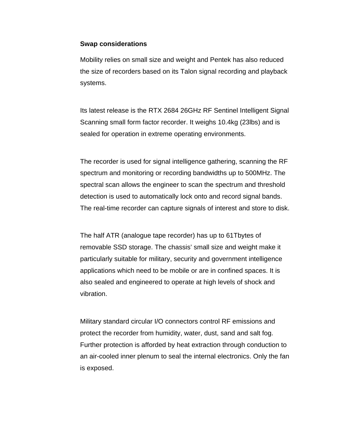## **Swap considerations**

Mobility relies on small size and weight and Pentek has also reduced the size of recorders based on its Talon signal recording and playback systems.

Its latest release is the RTX 2684 26GHz RF Sentinel Intelligent Signal Scanning small form factor recorder. It weighs 10.4kg (23lbs) and is sealed for operation in extreme operating environments.

The recorder is used for signal intelligence gathering, scanning the RF spectrum and monitoring or recording bandwidths up to 500MHz. The spectral scan allows the engineer to scan the spectrum and threshold detection is used to automatically lock onto and record signal bands. The real-time recorder can capture signals of interest and store to disk.

The half ATR (analogue tape recorder) has up to 61Tbytes of removable SSD storage. The chassis' small size and weight make it particularly suitable for military, security and government intelligence applications which need to be mobile or are in confined spaces. It is also sealed and engineered to operate at high levels of shock and vibration.

Military standard circular I/O connectors control RF emissions and protect the recorder from humidity, water, dust, sand and salt fog. Further protection is afforded by heat extraction through conduction to an air-cooled inner plenum to seal the internal electronics. Only the fan is exposed.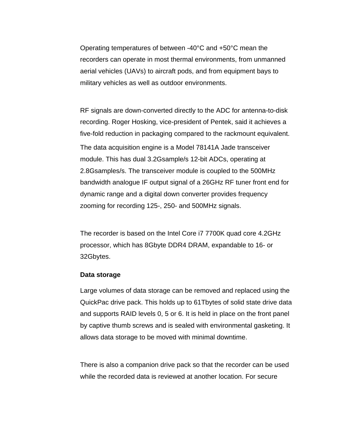Operating temperatures of between -40°C and +50°C mean the recorders can operate in most thermal environments, from unmanned aerial vehicles (UAVs) to aircraft pods, and from equipment bays to military vehicles as well as outdoor environments.

RF signals are down-converted directly to the ADC for antenna-to-disk recording. Roger Hosking, vice-president of Pentek, said it achieves a five-fold reduction in packaging compared to the rackmount equivalent. The data acquisition engine is a Model 78141A Jade transceiver module. This has dual 3.2Gsample/s 12-bit ADCs, operating at 2.8Gsamples/s. The transceiver module is coupled to the 500MHz bandwidth analogue IF output signal of a 26GHz RF tuner front end for dynamic range and a digital down converter provides frequency zooming for recording 125-, 250- and 500MHz signals.

The recorder is based on the Intel Core i7 7700K quad core 4.2GHz processor, which has 8Gbyte DDR4 DRAM, expandable to 16- or 32Gbytes.

## **Data storage**

Large volumes of data storage can be removed and replaced using the QuickPac drive pack. This holds up to 61Tbytes of solid state drive data and supports RAID levels 0, 5 or 6. It is held in place on the front panel by captive thumb screws and is sealed with environmental gasketing. It allows data storage to be moved with minimal downtime.

There is also a companion drive pack so that the recorder can be used while the recorded data is reviewed at another location. For secure